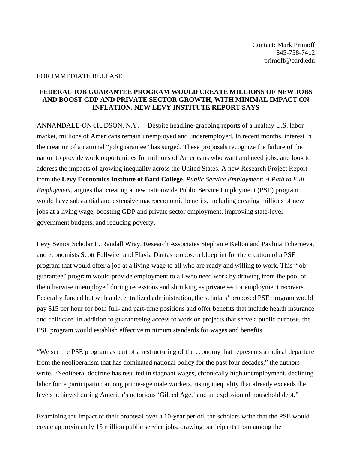## FOR IMMEDIATE RELEASE

## **FEDERAL JOB GUARANTEE PROGRAM WOULD CREATE MILLIONS OF NEW JOBS AND BOOST GDP AND PRIVATE SECTOR GROWTH, WITH MINIMAL IMPACT ON INFLATION, NEW LEVY INSTITUTE REPORT SAYS**

ANNANDALE-ON-HUDSON, N.Y.— Despite headline-grabbing reports of a healthy U.S. labor market, millions of Americans remain unemployed and underemployed. In recent months, interest in the creation of a national "job guarantee" has surged. These proposals recognize the failure of the nation to provide work opportunities for millions of Americans who want and need jobs, and look to address the impacts of growing inequality across the United States. A new Research Project Report from the **Levy Economics Institute of Bard College**, *Public Service Employment: A Path to Full Employment*, argues that creating a new nationwide Public Service Employment (PSE) program would have substantial and extensive macroeconomic benefits, including creating millions of new jobs at a living wage, boosting GDP and private sector employment, improving state-level government budgets, and reducing poverty.

Levy Senior Scholar L. Randall Wray, Research Associates Stephanie Kelton and Pavlina Tcherneva, and economists Scott Fullwiler and Flavia Dantas propose a blueprint for the creation of a PSE program that would offer a job at a living wage to all who are ready and willing to work. This "job guarantee" program would provide employment to all who need work by drawing from the pool of the otherwise unemployed during recessions and shrinking as private sector employment recovers. Federally funded but with a decentralized administration, the scholars' proposed PSE program would pay \$15 per hour for both full- and part-time positions and offer benefits that include health insurance and childcare. In addition to guaranteeing access to work on projects that serve a public purpose, the PSE program would establish effective minimum standards for wages and benefits.

"We see the PSE program as part of a restructuring of the economy that represents a radical departure from the neoliberalism that has dominated national policy for the past four decades," the authors write. "Neoliberal doctrine has resulted in stagnant wages, chronically high unemployment, declining labor force participation among prime-age male workers, rising inequality that already exceeds the levels achieved during America's notorious 'Gilded Age,' and an explosion of household debt."

Examining the impact of their proposal over a 10-year period, the scholars write that the PSE would create approximately 15 million public service jobs, drawing participants from among the